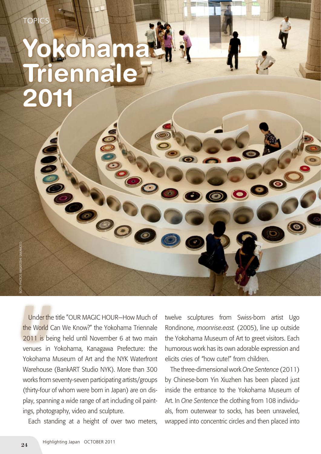## **Yokohama Triennale 2011**

Under the title "OUR MAGIC HOUR—How Much of<br>the World Can We Know?" the Yokohama Triennale<br>2011 is being held until November 6 at two main Under the title "OUR MAGIC HOUR—How Much of the World Can We Know?" the Yokohama Triennale venues in Yokohama, Kanagawa Prefecture: the Yokohama Museum of Art and the NYK Waterfront Warehouse (BankART Studio NYK). More than 300 works from seventy-seven participating artists/groups (thirty-four of whom were born in Japan) are on display, spanning a wide range of art including oil paintings, photography, video and sculpture.

Each standing at a height of over two meters,

twelve sculptures from Swiss-born artist Ugo Rondinone, *moonrise.east.* (2005), line up outside the Yokohama Museum of Art to greet visitors. Each humorous work has its own adorable expression and elicits cries of "how cute!" from children.

The three-dimensional work *One Sentence* (2011) by Chinese-born Yin Xiuzhen has been placed just inside the entrance to the Yokohama Museum of Art. In *One Sentence* the clothing from 108 individuals, from outerwear to socks, has been unraveled, wrapped into concentric circles and then placed into